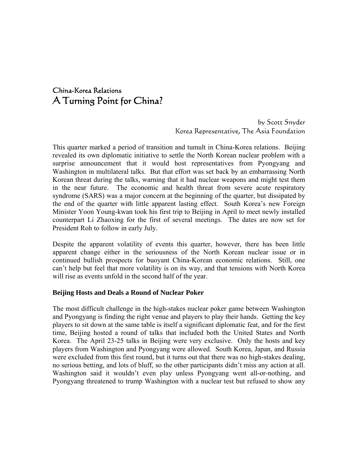# China-Korea Relations A Turning Point for China?

 by Scott Snyder Korea Representative, The Asia Foundation

This quarter marked a period of transition and tumult in China-Korea relations. Beijing revealed its own diplomatic initiative to settle the North Korean nuclear problem with a surprise announcement that it would host representatives from Pyongyang and Washington in multilateral talks. But that effort was set back by an embarrassing North Korean threat during the talks, warning that it had nuclear weapons and might test them in the near future. The economic and health threat from severe acute respiratory syndrome (SARS) was a major concern at the beginning of the quarter, but dissipated by the end of the quarter with little apparent lasting effect. South Korea's new Foreign Minister Yoon Young-kwan took his first trip to Beijing in April to meet newly installed counterpart Li Zhaoxing for the first of several meetings. The dates are now set for President Roh to follow in early July.

Despite the apparent volatility of events this quarter, however, there has been little apparent change either in the seriousness of the North Korean nuclear issue or in continued bullish prospects for buoyant China-Korean economic relations. Still, one can't help but feel that more volatility is on its way, and that tensions with North Korea will rise as events unfold in the second half of the year.

#### **Beijing Hosts and Deals a Round of Nuclear Poker**

The most difficult challenge in the high-stakes nuclear poker game between Washington and Pyongyang is finding the right venue and players to play their hands. Getting the key players to sit down at the same table is itself a significant diplomatic feat, and for the first time, Beijing hosted a round of talks that included both the United States and North Korea. The April 23-25 talks in Beijing were very exclusive. Only the hosts and key players from Washington and Pyongyang were allowed. South Korea, Japan, and Russia were excluded from this first round, but it turns out that there was no high-stakes dealing, no serious betting, and lots of bluff, so the other participants didn't miss any action at all. Washington said it wouldn't even play unless Pyongyang went all-or-nothing, and Pyongyang threatened to trump Washington with a nuclear test but refused to show any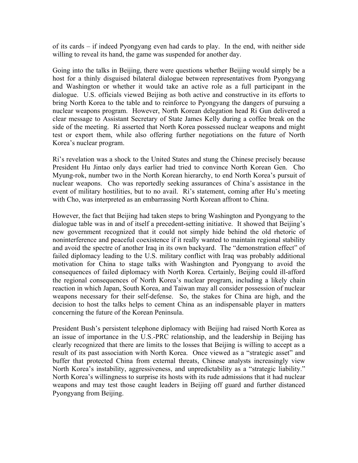of its cards – if indeed Pyongyang even had cards to play. In the end, with neither side willing to reveal its hand, the game was suspended for another day.

Going into the talks in Beijing, there were questions whether Beijing would simply be a host for a thinly disguised bilateral dialogue between representatives from Pyongyang and Washington or whether it would take an active role as a full participant in the dialogue. U.S. officials viewed Beijing as both active and constructive in its efforts to bring North Korea to the table and to reinforce to Pyongyang the dangers of pursuing a nuclear weapons program. However, North Korean delegation head Ri Gun delivered a clear message to Assistant Secretary of State James Kelly during a coffee break on the side of the meeting. Ri asserted that North Korea possessed nuclear weapons and might test or export them, while also offering further negotiations on the future of North Korea's nuclear program.

Ri's revelation was a shock to the United States and stung the Chinese precisely because President Hu Jintao only days earlier had tried to convince North Korean Gen. Cho Myung-rok, number two in the North Korean hierarchy, to end North Korea's pursuit of nuclear weapons. Cho was reportedly seeking assurances of China's assistance in the event of military hostilities, but to no avail. Ri's statement, coming after Hu's meeting with Cho, was interpreted as an embarrassing North Korean affront to China.

However, the fact that Beijing had taken steps to bring Washington and Pyongyang to the dialogue table was in and of itself a precedent-setting initiative. It showed that Beijing's new government recognized that it could not simply hide behind the old rhetoric of noninterference and peaceful coexistence if it really wanted to maintain regional stability and avoid the spectre of another Iraq in its own backyard. The "demonstration effect" of failed diplomacy leading to the U.S. military conflict with Iraq was probably additional motivation for China to stage talks with Washington and Pyongyang to avoid the consequences of failed diplomacy with North Korea. Certainly, Beijing could ill-afford the regional consequences of North Korea's nuclear program, including a likely chain reaction in which Japan, South Korea, and Taiwan may all consider possession of nuclear weapons necessary for their self-defense. So, the stakes for China are high, and the decision to host the talks helps to cement China as an indispensable player in matters concerning the future of the Korean Peninsula.

President Bush's persistent telephone diplomacy with Beijing had raised North Korea as an issue of importance in the U.S.-PRC relationship, and the leadership in Beijing has clearly recognized that there are limits to the losses that Beijing is willing to accept as a result of its past association with North Korea. Once viewed as a "strategic asset" and buffer that protected China from external threats, Chinese analysts increasingly view North Korea's instability, aggressiveness, and unpredictability as a "strategic liability." North Korea's willingness to surprise its hosts with its rude admissions that it had nuclear weapons and may test those caught leaders in Beijing off guard and further distanced Pyongyang from Beijing.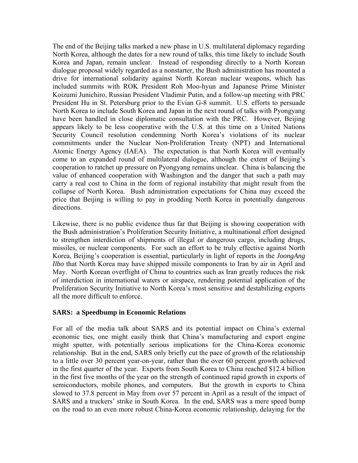The end of the Beijing talks marked a new phase in U.S. multilateral diplomacy regarding North Korea, although the dates for a new round of talks, this time likely to include South Korea and Japan, remain unclear. Instead of responding directly to a North Korean dialogue proposal widely regarded as a nonstarter, the Bush administration has mounted a drive for international solidarity against North Korean nuclear weapons, which has included summits with ROK President Roh Moo-hyun and Japanese Prime Minister Koizumi Junichiro, Russian President Vladimir Putin, and a follow-up meeting with PRC President Hu in St. Petersburg prior to the Evian G-8 summit. U.S. efforts to persuade North Korea to include South Korea and Japan in the next round of talks with Pyongyang have been handled in close diplomatic consultation with the PRC. However, Beijing appears likely to be less cooperative with the U.S. at this time on a United Nations Security Council resolution condemning North Korea's violations of its nuclear commitments under the Nuclear Non-Proliferation Treaty (NPT) and International Atomic Energy Agency (IAEA). The expectation is that North Korea will eventually come to an expanded round of multilateral dialogue, although the extent of Beijing's cooperation to ratchet up pressure on Pyongyang remains unclear. China is balancing the value of enhanced cooperation with Washington and the danger that such a path may carry a real cost to China in the form of regional instability that might result from the collapse of North Korea. Bush administration expectations for China may exceed the price that Beijing is willing to pay in prodding North Korea in potentially dangerous directions.

Likewise, there is no public evidence thus far that Beijing is showing cooperation with the Bush administration's Proliferation Security Initiative, a multinational effort designed to strengthen interdiction of shipments of illegal or dangerous cargo, including drugs, missiles, or nuclear components. For such an effort to be truly effective against North Korea, Beijing's cooperation is essential, particularly in light of reports in the *JoongAng Ilbo* that North Korea may have shipped missile components to Iran by air in April and May. North Korean overflight of China to countries such as Iran greatly reduces the risk of interdiction in international waters or airspace, rendering potential application of the Proliferation Security Initiative to North Korea's most sensitive and destabilizing exports all the more difficult to enforce.

#### **SARS: a Speedbump in Economic Relations**

For all of the media talk about SARS and its potential impact on China's external economic ties, one might easily think that China's manufacturing and export engine might sputter, with potentially serious implications for the China-Korea economic relationship. But in the end, SARS only briefly cut the pace of growth of the relationship to a little over 30 percent year-on-year, rather than the over 60 percent growth achieved in the first quarter of the year. Exports from South Korea to China reached \$12.4 billion in the first five months of the year on the strength of continued rapid growth in exports of semiconductors, mobile phones, and computers. But the growth in exports to China slowed to 37.8 percent in May from over 57 percent in April as a result of the impact of SARS and a truckers' strike in South Korea. In the end, SARS was a mere speed bump on the road to an even more robust China-Korea economic relationship, delaying for the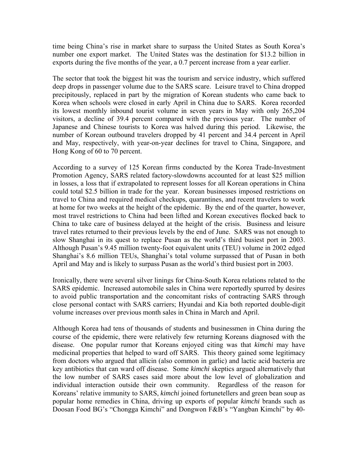time being China's rise in market share to surpass the United States as South Korea's number one export market. The United States was the destination for \$13.2 billion in exports during the five months of the year, a 0.7 percent increase from a year earlier.

The sector that took the biggest hit was the tourism and service industry, which suffered deep drops in passenger volume due to the SARS scare. Leisure travel to China dropped precipitously, replaced in part by the migration of Korean students who came back to Korea when schools were closed in early April in China due to SARS. Korea recorded its lowest monthly inbound tourist volume in seven years in May with only 265,204 visitors, a decline of 39.4 percent compared with the previous year. The number of Japanese and Chinese tourists to Korea was halved during this period. Likewise, the number of Korean outbound travelers dropped by 41 percent and 34.4 percent in April and May, respectively, with year-on-year declines for travel to China, Singapore, and Hong Kong of 60 to 70 percent.

According to a survey of 125 Korean firms conducted by the Korea Trade-Investment Promotion Agency, SARS related factory-slowdowns accounted for at least \$25 million in losses, a loss that if extrapolated to represent losses for all Korean operations in China could total \$2.5 billion in trade for the year. Korean businesses imposed restrictions on travel to China and required medical checkups, quarantines, and recent travelers to work at home for two weeks at the height of the epidemic. By the end of the quarter, however, most travel restrictions to China had been lifted and Korean executives flocked back to China to take care of business delayed at the height of the crisis. Business and leisure travel rates returned to their previous levels by the end of June. SARS was not enough to slow Shanghai in its quest to replace Pusan as the world's third busiest port in 2003. Although Pusan's 9.45 million twenty-foot equivalent units (TEU) volume in 2002 edged Shanghai's 8.6 million TEUs, Shanghai's total volume surpassed that of Pusan in both April and May and is likely to surpass Pusan as the world's third busiest port in 2003.

Ironically, there were several silver linings for China-South Korea relations related to the SARS epidemic. Increased automobile sales in China were reportedly spurred by desires to avoid public transportation and the concomitant risks of contracting SARS through close personal contact with SARS carriers; Hyundai and Kia both reported double-digit volume increases over previous month sales in China in March and April.

Although Korea had tens of thousands of students and businessmen in China during the course of the epidemic, there were relatively few returning Koreans diagnosed with the disease. One popular rumor that Koreans enjoyed citing was that *kimchi* may have medicinal properties that helped to ward off SARS. This theory gained some legitimacy from doctors who argued that allicin (also common in garlic) and lactic acid bacteria are key antibiotics that can ward off disease. Some *kimchi* skeptics argued alternatively that the low number of SARS cases said more about the low level of globalization and individual interaction outside their own community. Regardless of the reason for Koreans' relative immunity to SARS, *kimchi* joined fortunetellers and green bean soup as popular home remedies in China, driving up exports of popular *kimchi* brands such as Doosan Food BG's "Chongga Kimchi" and Dongwon F&B's "Yangban Kimchi" by 40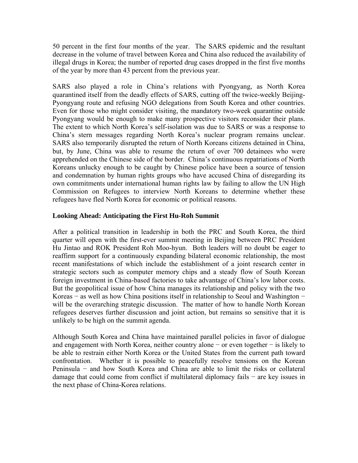50 percent in the first four months of the year. The SARS epidemic and the resultant decrease in the volume of travel between Korea and China also reduced the availability of illegal drugs in Korea; the number of reported drug cases dropped in the first five months of the year by more than 43 percent from the previous year.

SARS also played a role in China's relations with Pyongyang, as North Korea quarantined itself from the deadly effects of SARS, cutting off the twice-weekly Beijing-Pyongyang route and refusing NGO delegations from South Korea and other countries. Even for those who might consider visiting, the mandatory two-week quarantine outside Pyongyang would be enough to make many prospective visitors reconsider their plans. The extent to which North Korea's self-isolation was due to SARS or was a response to China's stern messages regarding North Korea's nuclear program remains unclear. SARS also temporarily disrupted the return of North Koreans citizens detained in China, but, by June, China was able to resume the return of over 700 detainees who were apprehended on the Chinese side of the border. China's continuous repatriations of North Koreans unlucky enough to be caught by Chinese police have been a source of tension and condemnation by human rights groups who have accused China of disregarding its own commitments under international human rights law by failing to allow the UN High Commission on Refugees to interview North Koreans to determine whether these refugees have fled North Korea for economic or political reasons.

### **Looking Ahead: Anticipating the First Hu-Roh Summit**

After a political transition in leadership in both the PRC and South Korea, the third quarter will open with the first-ever summit meeting in Beijing between PRC President Hu Jintao and ROK President Roh Moo-hyun. Both leaders will no doubt be eager to reaffirm support for a continuously expanding bilateral economic relationship, the most recent manifestations of which include the establishment of a joint research center in strategic sectors such as computer memory chips and a steady flow of South Korean foreign investment in China-based factories to take advantage of China's low labor costs. But the geopolitical issue of how China manages its relationship and policy with the two Koreas − as well as how China positions itself in relationship to Seoul and Washington − will be the overarching strategic discussion. The matter of how to handle North Korean refugees deserves further discussion and joint action, but remains so sensitive that it is unlikely to be high on the summit agenda.

Although South Korea and China have maintained parallel policies in favor of dialogue and engagement with North Korea, neither country alone − or even together − is likely to be able to restrain either North Korea or the United States from the current path toward confrontation. Whether it is possible to peacefully resolve tensions on the Korean Peninsula − and how South Korea and China are able to limit the risks or collateral damage that could come from conflict if multilateral diplomacy fails − are key issues in the next phase of China-Korea relations.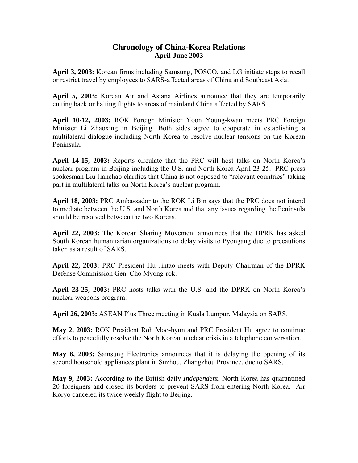## **Chronology of China-Korea Relations April-June 2003**

**April 3, 2003:** Korean firms including Samsung, POSCO, and LG initiate steps to recall or restrict travel by employees to SARS-affected areas of China and Southeast Asia.

**April 5, 2003:** Korean Air and Asiana Airlines announce that they are temporarily cutting back or halting flights to areas of mainland China affected by SARS.

**April 10-12, 2003:** ROK Foreign Minister Yoon Young-kwan meets PRC Foreign Minister Li Zhaoxing in Beijing. Both sides agree to cooperate in establishing a multilateral dialogue including North Korea to resolve nuclear tensions on the Korean Peninsula.

**April 14-15, 2003:** Reports circulate that the PRC will host talks on North Korea's nuclear program in Beijing including the U.S. and North Korea April 23-25. PRC press spokesman Liu Jianchao clarifies that China is not opposed to "relevant countries" taking part in multilateral talks on North Korea's nuclear program.

**April 18, 2003:** PRC Ambassador to the ROK Li Bin says that the PRC does not intend to mediate between the U.S. and North Korea and that any issues regarding the Peninsula should be resolved between the two Koreas.

**April 22, 2003:** The Korean Sharing Movement announces that the DPRK has asked South Korean humanitarian organizations to delay visits to Pyongang due to precautions taken as a result of SARS.

**April 22, 2003:** PRC President Hu Jintao meets with Deputy Chairman of the DPRK Defense Commission Gen. Cho Myong-rok.

**April 23-25, 2003:** PRC hosts talks with the U.S. and the DPRK on North Korea's nuclear weapons program.

**April 26, 2003:** ASEAN Plus Three meeting in Kuala Lumpur, Malaysia on SARS.

**May 2, 2003:** ROK President Roh Moo-hyun and PRC President Hu agree to continue efforts to peacefully resolve the North Korean nuclear crisis in a telephone conversation.

**May 8, 2003:** Samsung Electronics announces that it is delaying the opening of its second household appliances plant in Suzhou, Zhangzhou Province, due to SARS.

**May 9, 2003:** According to the British daily *Independent*, North Korea has quarantined 20 foreigners and closed its borders to prevent SARS from entering North Korea. Air Koryo canceled its twice weekly flight to Beijing.